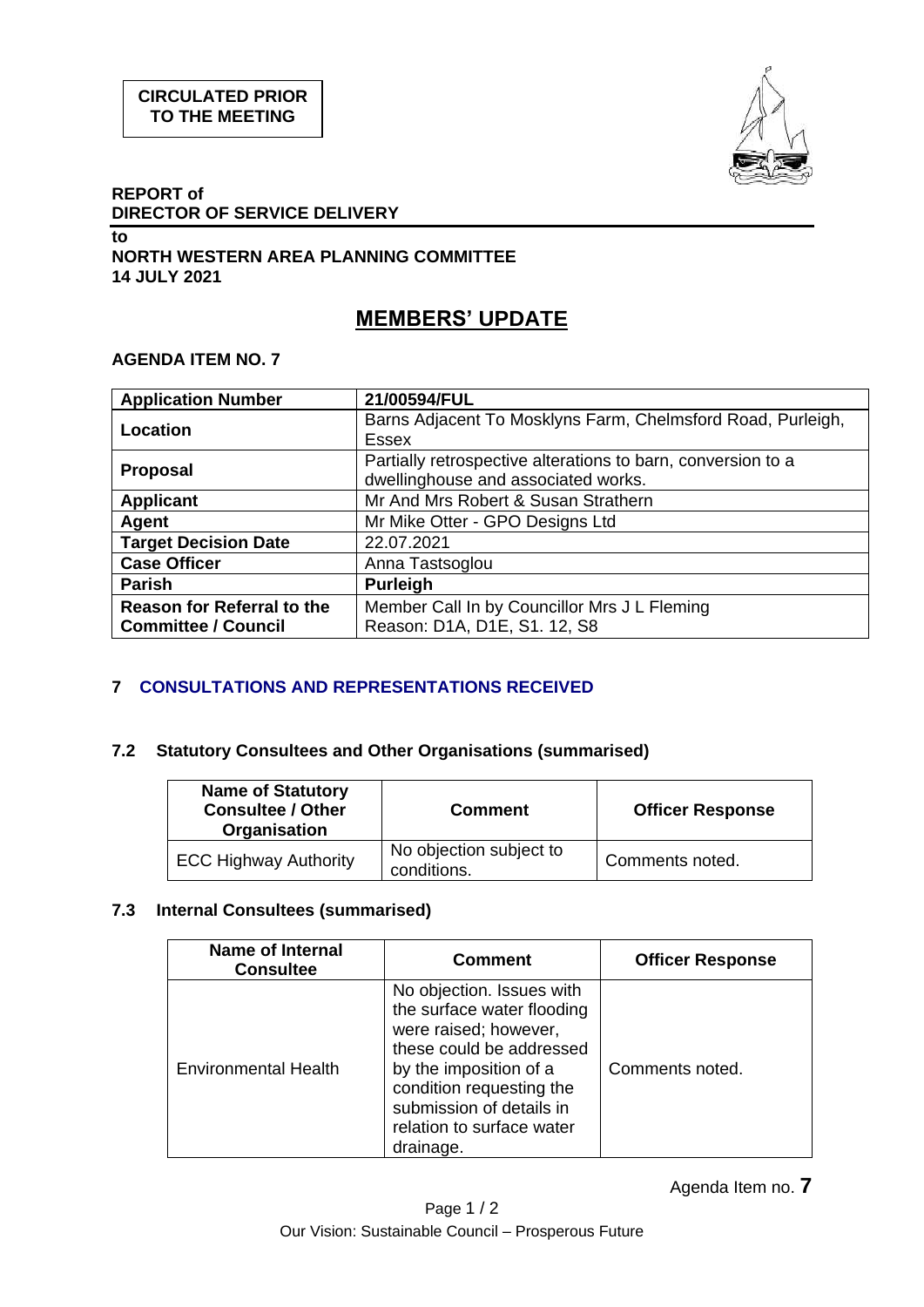

#### **REPORT of DIRECTOR OF SERVICE DELIVERY**

### **to NORTH WESTERN AREA PLANNING COMMITTEE 14 JULY 2021**

# **MEMBERS' UPDATE**

## **AGENDA ITEM NO. 7**

| <b>Application Number</b>                                       | 21/00594/FUL                                                                                        |
|-----------------------------------------------------------------|-----------------------------------------------------------------------------------------------------|
| Location                                                        | Barns Adjacent To Mosklyns Farm, Chelmsford Road, Purleigh,<br><b>Essex</b>                         |
| <b>Proposal</b>                                                 | Partially retrospective alterations to barn, conversion to a<br>dwellinghouse and associated works. |
| <b>Applicant</b>                                                | Mr And Mrs Robert & Susan Strathern                                                                 |
| Agent                                                           | Mr Mike Otter - GPO Designs Ltd                                                                     |
| <b>Target Decision Date</b>                                     | 22.07.2021                                                                                          |
| <b>Case Officer</b>                                             | Anna Tastsoglou                                                                                     |
| <b>Parish</b>                                                   | <b>Purleigh</b>                                                                                     |
| <b>Reason for Referral to the</b><br><b>Committee / Council</b> | Member Call In by Councillor Mrs J L Fleming<br>Reason: D1A, D1E, S1. 12, S8                        |

# **7 CONSULTATIONS AND REPRESENTATIONS RECEIVED**

## **7.2 Statutory Consultees and Other Organisations (summarised)**

| <b>Name of Statutory</b><br><b>Consultee / Other</b><br>Organisation | <b>Comment</b>                         | <b>Officer Response</b> |
|----------------------------------------------------------------------|----------------------------------------|-------------------------|
| <b>ECC Highway Authority</b>                                         | No objection subject to<br>conditions. | Comments noted.         |

### **7.3 Internal Consultees (summarised)**

| <b>Name of Internal</b><br><b>Consultee</b> | <b>Comment</b>                                                                                                                                                                                                                           | <b>Officer Response</b> |
|---------------------------------------------|------------------------------------------------------------------------------------------------------------------------------------------------------------------------------------------------------------------------------------------|-------------------------|
| <b>Environmental Health</b>                 | No objection. Issues with<br>the surface water flooding<br>were raised; however,<br>these could be addressed<br>by the imposition of a<br>condition requesting the<br>submission of details in<br>relation to surface water<br>drainage. | Comments noted.         |

Agenda Item no. **7**